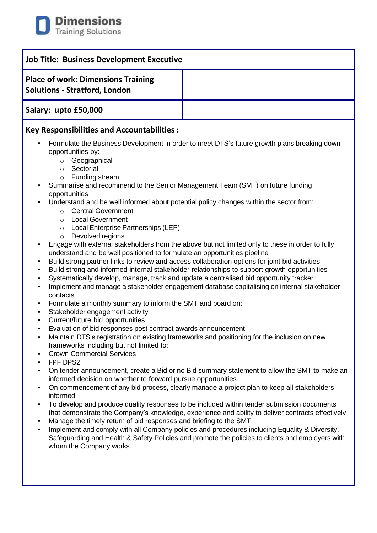

| Job Title: Business Development Executive                                         |  |
|-----------------------------------------------------------------------------------|--|
| <b>Place of work: Dimensions Training</b><br><b>Solutions - Stratford, London</b> |  |
| Salary: upto £50,000                                                              |  |
| <b>Key Responsibilities and Accountabilities:</b>                                 |  |

- Formulate the Business Development in order to meet DTS's future growth plans breaking down opportunities by:
	- o Geographical
	- o Sectorial
	- o Funding stream
- Summarise and recommend to the Senior Management Team (SMT) on future funding opportunities
- Understand and be well informed about potential policy changes within the sector from:
	- o Central Government
	- o Local Government
	- o Local Enterprise Partnerships (LEP)
	- o Devolved regions
- Engage with external stakeholders from the above but not limited only to these in order to fully understand and be well positioned to formulate an opportunities pipeline
- Build strong partner links to review and access collaboration options for joint bid activities
- Build strong and informed internal stakeholder relationships to support growth opportunities
- Systematically develop, manage, track and update a centralised bid opportunity tracker
- Implement and manage a stakeholder engagement database capitalising on internal stakeholder contacts
- Formulate a monthly summary to inform the SMT and board on:
- Stakeholder engagement activity
- Current/future bid opportunities
- Evaluation of bid responses post contract awards announcement
- Maintain DTS's registration on existing frameworks and positioning for the inclusion on new frameworks including but not limited to:
- **Crown Commercial Services**
- FPF DPS2
- On tender announcement, create a Bid or no Bid summary statement to allow the SMT to make an informed decision on whether to forward pursue opportunities
- On commencement of any bid process, clearly manage a project plan to keep all stakeholders informed
- To develop and produce quality responses to be included within tender submission documents that demonstrate the Company's knowledge, experience and ability to deliver contracts effectively
- Manage the timely return of bid responses and briefing to the SMT
- Implement and comply with all Company policies and procedures including Equality & Diversity, Safeguarding and Health & Safety Policies and promote the policies to clients and employers with whom the Company works.